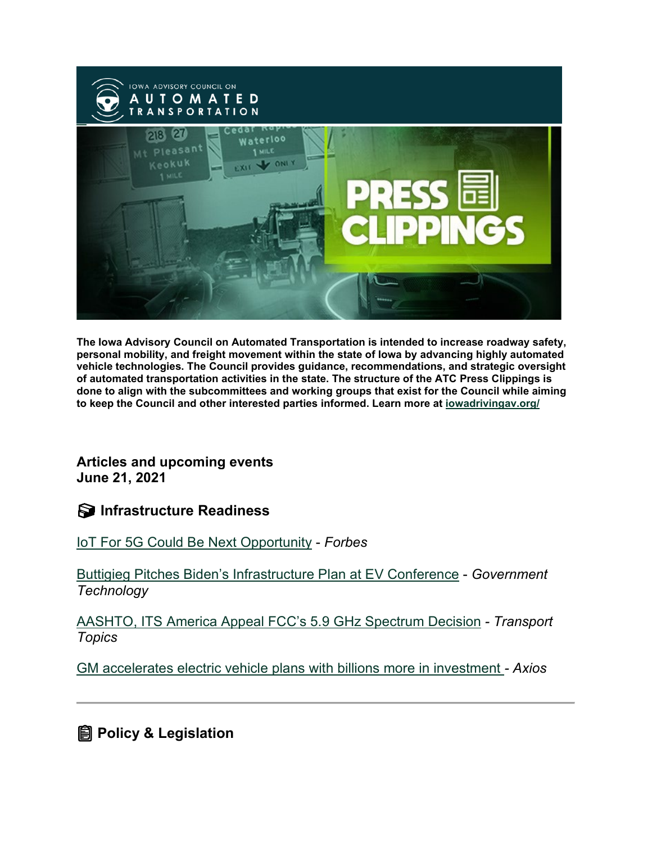

**The Iowa Advisory Council on Automated Transportation is intended to increase roadway safety, personal mobility, and freight movement within the state of Iowa by advancing highly automated vehicle technologies. The Council provides guidance, recommendations, and strategic oversight of automated transportation activities in the state. The structure of the ATC Press Clippings is done to align with the subcommittees and working groups that exist for the Council while aiming to keep the Council and other interested parties informed. Learn more at [iowadrivingav.org/](https://iowadrivingav.org/?utm_medium=email&utm_source=govdelivery)**

**Articles and upcoming events June 21, 2021**

**S** Infrastructure Readiness

[IoT For 5G Could Be Next Opportunity](https://www.forbes.com/sites/bobodonnell/2021/06/17/iot-for-5g-could-be-next-opportunity?utm_medium=email&utm_source=govdelivery) - *Forbes*

[Buttigieg Pitches Biden's Infrastructure Plan at EV Conference](https://www.govtech.com/fs/buttigieg-pitches-bidens-infrastructure-plan-at-ev-conference?utm_medium=email&utm_source=govdelivery) - *Government Technology*

[AASHTO, ITS America Appeal FCC's 5.9 GHz Spectrum Decision](https://www.ttnews.com/articles/aashto-its-america-appeal-fccs-59-ghz-spectrum-decision?utm_medium=email&utm_source=govdelivery) *- Transport Topics*

[GM accelerates electric vehicle plans with billions more in investment](https://www.axios.com/general-motors-electric-vehicles-investment-32acacfc-51dd-43ff-9f95-f037485d17f4.html?utm_medium=email&utm_source=govdelivery) *- Axios*

**<u></u></u> Policy & Legislation**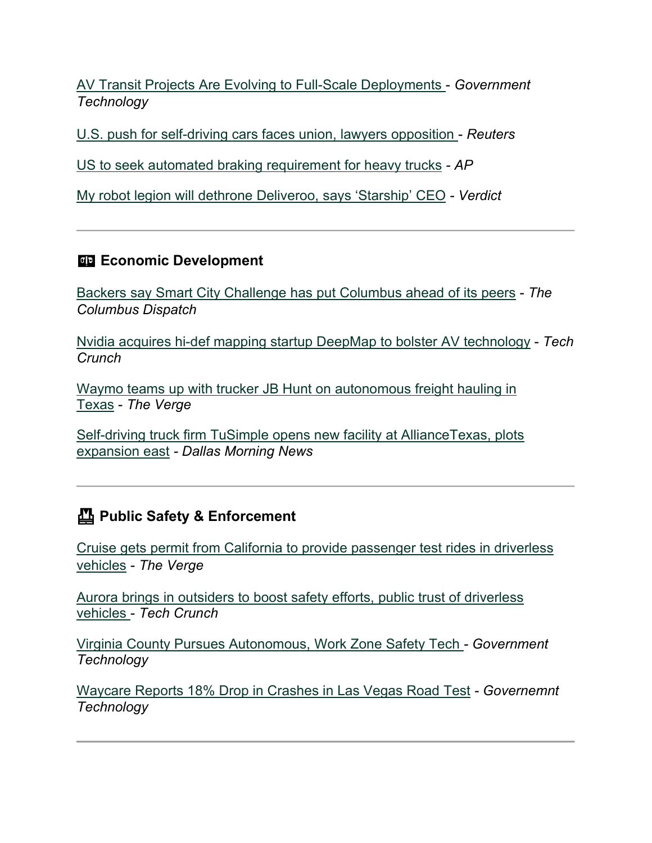[AV Transit Projects Are Evolving to Full-Scale Deployments](https://www.govtech.com/fs/av-transit-projects-are-evolving-to-full-scale-deployments?utm_medium=email&utm_source=govdelivery) - *Government Technology*

[U.S. push for self-driving cars faces union, lawyers opposition](https://www.reuters.com/article/usa-autos-self-driving/us-push-for-self-driving-cars-faces-union-lawyers-opposition-idUSL2N2NY23U?utm_medium=email&utm_source=govdelivery) - *Reuters*

[US to seek automated braking requirement for heavy trucks](https://apnews.com/article/auto-safety-automatic-braking-systems-heavy-trucks-biden-d290ed87daa843761e6fea937a621a8a?utm_medium=email&utm_source=govdelivery) *- AP*

[My robot legion will dethrone Deliveroo, says 'Starship' CEO](https://www.verdict.co.uk/starship-technologies-new-ceo/?utm_medium=email&utm_source=govdelivery) *- Verdict*

### **ED Economic Development**

[Backers say Smart City Challenge has put Columbus ahead of its peers](https://www.dispatch.com/story/business/2021/06/15/smart-city-supporters-say-work-has-put-columbus-ahead-its-peers/7693068002/?utm_medium=email&utm_source=govdelivery) - *The Columbus Dispatch*

[Nvidia acquires hi-def mapping startup DeepMap to bolster](https://techcrunch.com/2021/06/10/nvidia-acquires-hi-def-mapping-startup-deepmap-to-bolster-av-technology/?utm_medium=email&utm_source=govdelivery) AV technology - *Tech Crunch*

[Waymo teams up with trucker JB Hunt on autonomous freight hauling](https://www.theverge.com/2021/6/10/22527430/waymo-jb-hunt-autonomous-truck-freight-test-texas?utm_medium=email&utm_source=govdelivery) in [Texas](https://www.theverge.com/2021/6/10/22527430/waymo-jb-hunt-autonomous-truck-freight-test-texas?utm_medium=email&utm_source=govdelivery) - *The Verge*

[Self-driving truck firm TuSimple opens new facility at AllianceTexas, plots](https://www.dallasnews.com/business/technology/2021/06/16/self-driving-truck-firm-tusimple-opens-new-facility-at-alliancetexas-plots-expansion-east/?utm_medium=email&utm_source=govdelivery)  [expansion east](https://www.dallasnews.com/business/technology/2021/06/16/self-driving-truck-firm-tusimple-opens-new-facility-at-alliancetexas-plots-expansion-east/?utm_medium=email&utm_source=govdelivery) *- Dallas Morning News*

### **Public Safety & Enforcement**

[Cruise gets permit from California to provide passenger test rides in driverless](https://www.theverge.com/2021/6/5/22520227/cruise-permit-california-driverless-autonomous-vehicles?utm_medium=email&utm_source=govdelivery)  [vehicles](https://www.theverge.com/2021/6/5/22520227/cruise-permit-california-driverless-autonomous-vehicles?utm_medium=email&utm_source=govdelivery) - *The Verge*

[Aurora brings in outsiders to boost safety efforts, public trust of driverless](https://techcrunch.com/2021/06/03/aurora-brings-in-outsiders-to-boost-safety-efforts-public-trust-of-driverless-vehicles/?utm_medium=email&utm_source=govdelivery)  [vehicles](https://techcrunch.com/2021/06/03/aurora-brings-in-outsiders-to-boost-safety-efforts-public-trust-of-driverless-vehicles/?utm_medium=email&utm_source=govdelivery) - *Tech Crunch*

[Virginia County Pursues Autonomous, Work Zone Safety Tech](https://www.govtech.com/fs/virginia-county-pursues-autonomous-work-zone-safety-tech?utm_medium=email&utm_source=govdelivery) *- Government Technology*

[Waycare Reports 18% Drop in Crashes in Las Vegas Road Test](https://www.govtech.com/biz/waycare-reports-18-drop-in-crashes-in-las-vegas-road-test?utm_medium=email&utm_source=govdelivery) *- Governemnt Technology*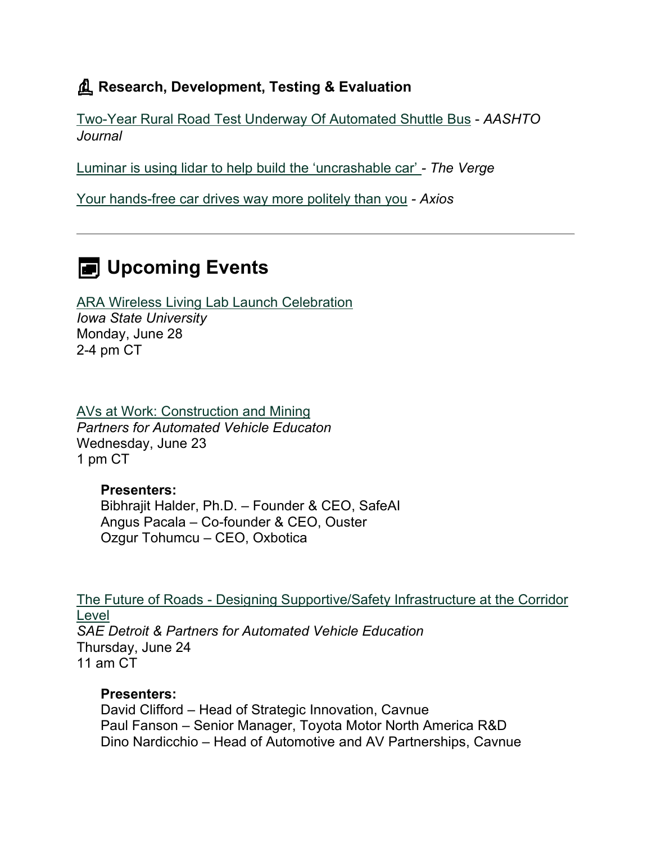### **Research, Development, Testing & Evaluation**

Two-Year [Rural Road Test Underway Of Automated Shuttle Bus](https://aashtojournal.org/2021/06/11/two-year-rural-road-test-underway-of-automated-shuttle-bus/?utm_medium=email&utm_source=govdelivery) - *AASHTO Journal*

[Luminar is using lidar to help build the 'uncrashable car'](https://www.theverge.com/2021/6/15/22533711/luminar-lidar-autonomous-vehicle-hands-on-demo-austin-russell?utm_medium=email&utm_source=govdelivery) *- The Verge*

[Your hands-free car drives way more politely than you](https://www.axios.com/hands-free-driving-safety-cars-bf692c21-f3ae-4443-ab69-fccd3fb69588.html?utm_medium=email&utm_source=govdelivery) *- Axios*

# **E** Upcoming Events

[ARA Wireless Living Lab Launch Celebration](https://app.smartsheet.com/b/form/0caa266db98b4fd28acbfa22a1686e99?utm_medium=email&utm_source=govdelivery) *Iowa State University* Monday, June 28 2-4 pm CT

[AVs at Work: Construction and Mining](https://pavecampaign.org/event/pave-virtual-panel-avs-at-work-construction-and-mining/?utm_medium=email&utm_source=govdelivery) *Partners for Automated Vehicle Educaton* Wednesday, June 23 1 pm CT

**Presenters:** Bibhrajit Halder, Ph.D. – Founder & CEO, SafeAI Angus Pacala – Co-founder & CEO, Ouster Ozgur Tohumcu – CEO, Oxbotica

The Future of Roads - [Designing Supportive/Safety Infrastructure at the Corridor](https://pavecampaign.org/event/the-future-of-roads-designing-supportive-safety-infrastructure-at-the-corridor-level/?utm_medium=email&utm_source=govdelivery)  [Level](https://pavecampaign.org/event/the-future-of-roads-designing-supportive-safety-infrastructure-at-the-corridor-level/?utm_medium=email&utm_source=govdelivery) *SAE Detroit & Partners for Automated Vehicle Education* Thursday, June 24 11 am CT

#### **Presenters:**

David Clifford – Head of Strategic Innovation, Cavnue Paul Fanson – Senior Manager, Toyota Motor North America R&D Dino Nardicchio – Head of Automotive and AV Partnerships, Cavnue